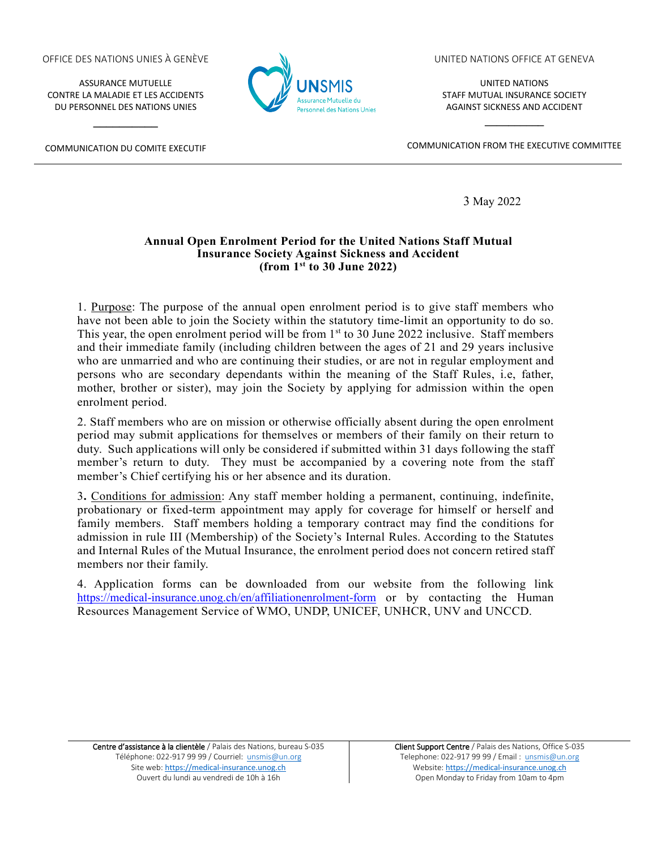## OFFICE DES NATIONS UNIES À GENÈVE

ASSURANCE MUTUELLE CONTRE LA MALADIE ET LES ACCIDENTS DU PERSONNEL DES NATIONS UNIES

COMMUNICATION DU COMITE EXECUTIF

**\_\_\_\_\_\_\_\_\_\_**



UNITED NATIONS OFFICE AT GENEVA

UNITED NATIONS STAFF MUTUAL INSURANCE SOCIETY AGAINST SICKNESS AND ACCIDENT

COMMUNICATION FROM THE EXECUTIVE COMMITTEE

**\_\_\_\_\_\_\_\_\_\_**

3 May 2022

## **Annual Open Enrolment Period for the United Nations Staff Mutual Insurance Society Against Sickness and Accident (from 1st to 30 June 2022)**

1. Purpose: The purpose of the annual open enrolment period is to give staff members who have not been able to join the Society within the statutory time-limit an opportunity to do so. This year, the open enrolment period will be from  $1<sup>st</sup>$  to 30 June 2022 inclusive. Staff members and their immediate family (including children between the ages of 21 and 29 years inclusive who are unmarried and who are continuing their studies, or are not in regular employment and persons who are secondary dependants within the meaning of the Staff Rules, i.e, father, mother, brother or sister), may join the Society by applying for admission within the open enrolment period.

2. Staff members who are on mission or otherwise officially absent during the open enrolment period may submit applications for themselves or members of their family on their return to duty. Such applications will only be considered if submitted within 31 days following the staff member's return to duty. They must be accompanied by a covering note from the staff member's Chief certifying his or her absence and its duration.

3**.** Conditions for admission: Any staff member holding a permanent, continuing, indefinite, probationary or fixed-term appointment may apply for coverage for himself or herself and family members. Staff members holding a temporary contract may find the conditions for admission in rule III (Membership) of the Society's Internal Rules. According to the Statutes and Internal Rules of the Mutual Insurance, the enrolment period does not concern retired staff members nor their family.

4. Application forms can be downloaded from our website from the following link <https://medical-insurance.unog.ch/en/affiliationenrolment-form> or by contacting the Human Resources Management Service of WMO, UNDP, UNICEF, UNHCR, UNV and UNCCD.